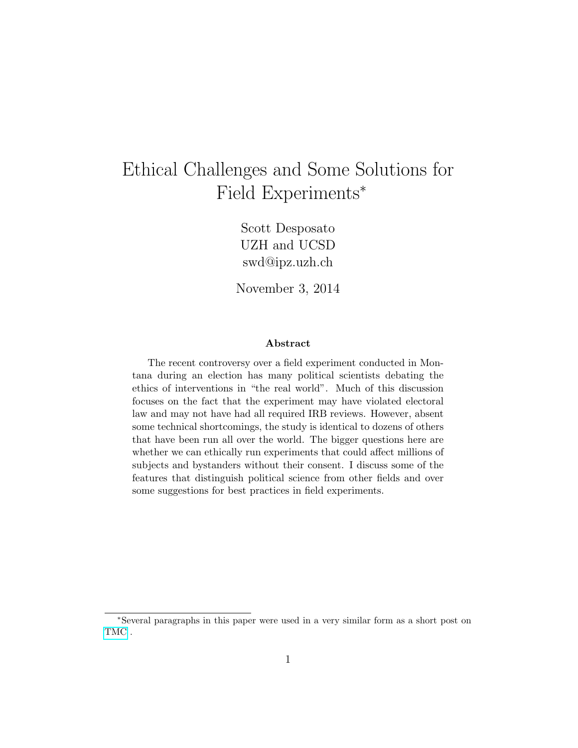## Ethical Challenges and Some Solutions for Field Experiments<sup>∗</sup>

Scott Desposato UZH and UCSD swd@ipz.uzh.ch

November 3, 2014

## Abstract

The recent controversy over a field experiment conducted in Montana during an election has many political scientists debating the ethics of interventions in "the real world". Much of this discussion focuses on the fact that the experiment may have violated electoral law and may not have had all required IRB reviews. However, absent some technical shortcomings, the study is identical to dozens of others that have been run all over the world. The bigger questions here are whether we can ethically run experiments that could affect millions of subjects and bystanders without their consent. I discuss some of the features that distinguish political science from other fields and over some suggestions for best practices in field experiments.

<sup>∗</sup>Several paragraphs in this paper were used in a very similar form as a short post on [TMC](http://www.washingtonpost.com/blogs/monkey-cage/) .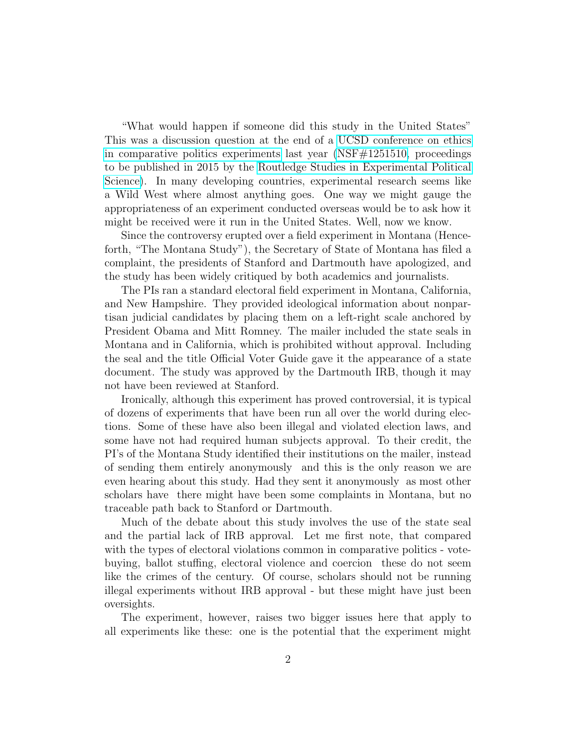"What would happen if someone did this study in the United States" This was a discussion question at the end of a [UCSD conference on ethics](http://polisci2.ucsd.edu/polisciethics) [in comparative politics experiments](http://polisci2.ucsd.edu/polisciethics) last year [\(NSF#1251510,](http://grantome.com/grant/NSF/SES-1251510) proceedings to be published in 2015 by the [Routledge Studies in Experimental Political](http://www.routledge.com/books/series/EPS/) [Science\)](http://www.routledge.com/books/series/EPS/). In many developing countries, experimental research seems like a Wild West where almost anything goes. One way we might gauge the appropriateness of an experiment conducted overseas would be to ask how it might be received were it run in the United States. Well, now we know.

Since the controversy erupted over a field experiment in Montana (Henceforth, "The Montana Study"), the Secretary of State of Montana has filed a complaint, the presidents of Stanford and Dartmouth have apologized, and the study has been widely critiqued by both academics and journalists.

The PIs ran a standard electoral field experiment in Montana, California, and New Hampshire. They provided ideological information about nonpartisan judicial candidates by placing them on a left-right scale anchored by President Obama and Mitt Romney. The mailer included the state seals in Montana and in California, which is prohibited without approval. Including the seal and the title Official Voter Guide gave it the appearance of a state document. The study was approved by the Dartmouth IRB, though it may not have been reviewed at Stanford.

Ironically, although this experiment has proved controversial, it is typical of dozens of experiments that have been run all over the world during elections. Some of these have also been illegal and violated election laws, and some have not had required human subjects approval. To their credit, the PI's of the Montana Study identified their institutions on the mailer, instead of sending them entirely anonymously and this is the only reason we are even hearing about this study. Had they sent it anonymously as most other scholars have there might have been some complaints in Montana, but no traceable path back to Stanford or Dartmouth.

Much of the debate about this study involves the use of the state seal and the partial lack of IRB approval. Let me first note, that compared with the types of electoral violations common in comparative politics - votebuying, ballot stuffing, electoral violence and coercion these do not seem like the crimes of the century. Of course, scholars should not be running illegal experiments without IRB approval - but these might have just been oversights.

The experiment, however, raises two bigger issues here that apply to all experiments like these: one is the potential that the experiment might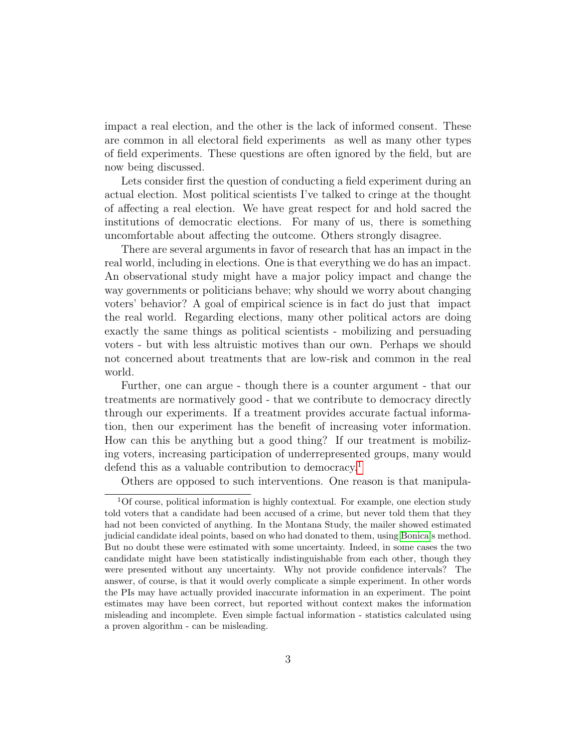impact a real election, and the other is the lack of informed consent. These are common in all electoral field experiments as well as many other types of field experiments. These questions are often ignored by the field, but are now being discussed.

Lets consider first the question of conducting a field experiment during an actual election. Most political scientists I've talked to cringe at the thought of affecting a real election. We have great respect for and hold sacred the institutions of democratic elections. For many of us, there is something uncomfortable about affecting the outcome. Others strongly disagree.

There are several arguments in favor of research that has an impact in the real world, including in elections. One is that everything we do has an impact. An observational study might have a major policy impact and change the way governments or politicians behave; why should we worry about changing voters' behavior? A goal of empirical science is in fact do just that impact the real world. Regarding elections, many other political actors are doing exactly the same things as political scientists - mobilizing and persuading voters - but with less altruistic motives than our own. Perhaps we should not concerned about treatments that are low-risk and common in the real world.

Further, one can argue - though there is a counter argument - that our treatments are normatively good - that we contribute to democracy directly through our experiments. If a treatment provides accurate factual information, then our experiment has the benefit of increasing voter information. How can this be anything but a good thing? If our treatment is mobilizing voters, increasing participation of underrepresented groups, many would defend this as a valuable contribution to democracy.[1](#page-2-0)

<span id="page-2-0"></span>Others are opposed to such interventions. One reason is that manipula-

<sup>1</sup>Of course, political information is highly contextual. For example, one election study told voters that a candidate had been accused of a crime, but never told them that they had not been convicted of anything. In the Montana Study, the mailer showed estimated judicial candidate ideal points, based on who had donated to them, using [Bonica'](#page-9-0)s method. But no doubt these were estimated with some uncertainty. Indeed, in some cases the two candidate might have been statistically indistinguishable from each other, though they were presented without any uncertainty. Why not provide confidence intervals? The answer, of course, is that it would overly complicate a simple experiment. In other words the PIs may have actually provided inaccurate information in an experiment. The point estimates may have been correct, but reported without context makes the information misleading and incomplete. Even simple factual information - statistics calculated using a proven algorithm - can be misleading.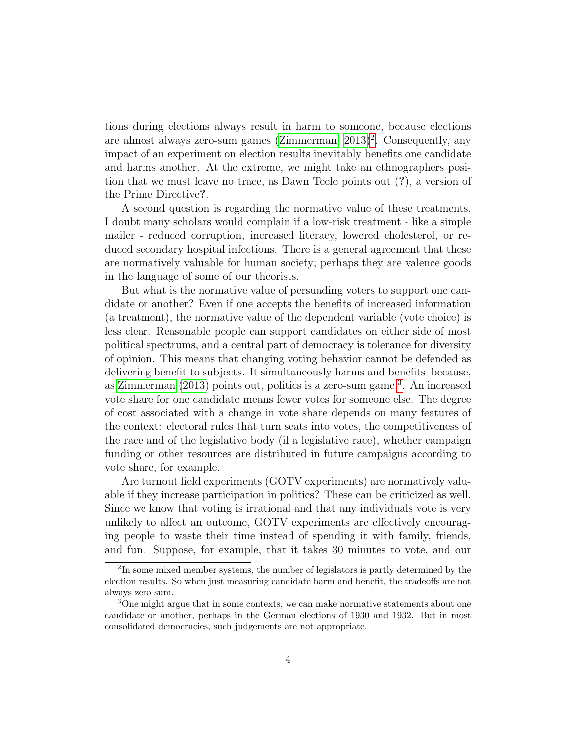tions during elections always result in harm to someone, because elections are almost always zero-sum games  $(Zimmerman, 2013)^2$  $(Zimmerman, 2013)^2$  $(Zimmerman, 2013)^2$ . Consequently, any impact of an experiment on election results inevitably benefits one candidate and harms another. At the extreme, we might take an ethnographers position that we must leave no trace, as Dawn Teele points out (?), a version of the Prime Directive?.

A second question is regarding the normative value of these treatments. I doubt many scholars would complain if a low-risk treatment - like a simple mailer - reduced corruption, increased literacy, lowered cholesterol, or reduced secondary hospital infections. There is a general agreement that these are normatively valuable for human society; perhaps they are valence goods in the language of some of our theorists.

But what is the normative value of persuading voters to support one candidate or another? Even if one accepts the benefits of increased information (a treatment), the normative value of the dependent variable (vote choice) is less clear. Reasonable people can support candidates on either side of most political spectrums, and a central part of democracy is tolerance for diversity of opinion. This means that changing voting behavior cannot be defended as delivering benefit to subjects. It simultaneously harms and benefits because, as [Zimmerman](#page-10-0) [\(2013\)](#page-10-0) points out, politics is a zero-sum game <sup>[3](#page-3-1)</sup>. An increased vote share for one candidate means fewer votes for someone else. The degree of cost associated with a change in vote share depends on many features of the context: electoral rules that turn seats into votes, the competitiveness of the race and of the legislative body (if a legislative race), whether campaign funding or other resources are distributed in future campaigns according to vote share, for example.

Are turnout field experiments (GOTV experiments) are normatively valuable if they increase participation in politics? These can be criticized as well. Since we know that voting is irrational and that any individuals vote is very unlikely to affect an outcome, GOTV experiments are effectively encouraging people to waste their time instead of spending it with family, friends, and fun. Suppose, for example, that it takes 30 minutes to vote, and our

<span id="page-3-0"></span><sup>&</sup>lt;sup>2</sup>In some mixed member systems, the number of legislators is partly determined by the election results. So when just measuring candidate harm and benefit, the tradeoffs are not always zero sum.

<span id="page-3-1"></span><sup>3</sup>One might argue that in some contexts, we can make normative statements about one candidate or another, perhaps in the German elections of 1930 and 1932. But in most consolidated democracies, such judgements are not appropriate.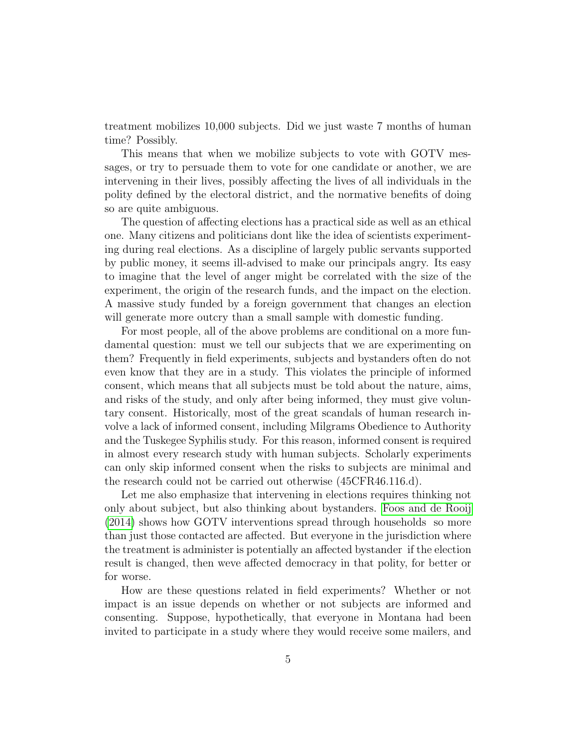treatment mobilizes 10,000 subjects. Did we just waste 7 months of human time? Possibly.

This means that when we mobilize subjects to vote with GOTV messages, or try to persuade them to vote for one candidate or another, we are intervening in their lives, possibly affecting the lives of all individuals in the polity defined by the electoral district, and the normative benefits of doing so are quite ambiguous.

The question of affecting elections has a practical side as well as an ethical one. Many citizens and politicians dont like the idea of scientists experimenting during real elections. As a discipline of largely public servants supported by public money, it seems ill-advised to make our principals angry. Its easy to imagine that the level of anger might be correlated with the size of the experiment, the origin of the research funds, and the impact on the election. A massive study funded by a foreign government that changes an election will generate more outcry than a small sample with domestic funding.

For most people, all of the above problems are conditional on a more fundamental question: must we tell our subjects that we are experimenting on them? Frequently in field experiments, subjects and bystanders often do not even know that they are in a study. This violates the principle of informed consent, which means that all subjects must be told about the nature, aims, and risks of the study, and only after being informed, they must give voluntary consent. Historically, most of the great scandals of human research involve a lack of informed consent, including Milgrams Obedience to Authority and the Tuskegee Syphilis study. For this reason, informed consent is required in almost every research study with human subjects. Scholarly experiments can only skip informed consent when the risks to subjects are minimal and the research could not be carried out otherwise (45CFR46.116.d).

Let me also emphasize that intervening in elections requires thinking not only about subject, but also thinking about bystanders. [Foos and de Rooij](#page-9-1) [\(2014\)](#page-9-1) shows how GOTV interventions spread through households so more than just those contacted are affected. But everyone in the jurisdiction where the treatment is administer is potentially an affected bystander if the election result is changed, then weve affected democracy in that polity, for better or for worse.

How are these questions related in field experiments? Whether or not impact is an issue depends on whether or not subjects are informed and consenting. Suppose, hypothetically, that everyone in Montana had been invited to participate in a study where they would receive some mailers, and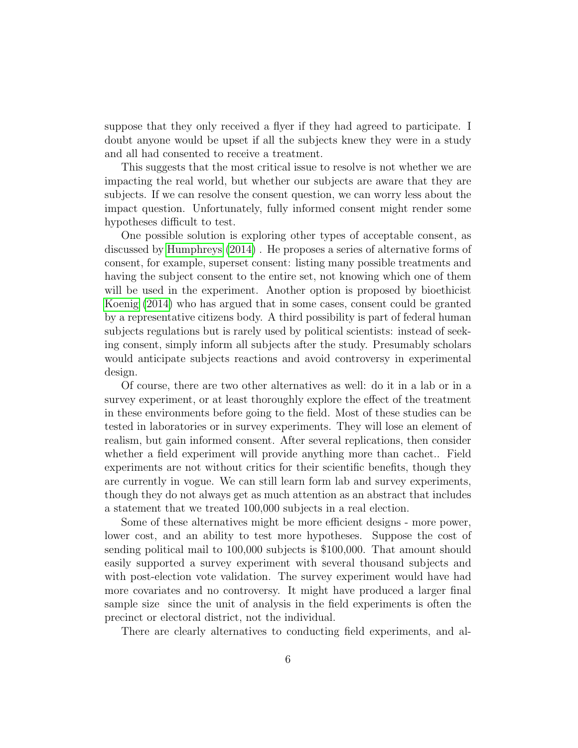suppose that they only received a flyer if they had agreed to participate. I doubt anyone would be upset if all the subjects knew they were in a study and all had consented to receive a treatment.

This suggests that the most critical issue to resolve is not whether we are impacting the real world, but whether our subjects are aware that they are subjects. If we can resolve the consent question, we can worry less about the impact question. Unfortunately, fully informed consent might render some hypotheses difficult to test.

One possible solution is exploring other types of acceptable consent, as discussed by [Humphreys](#page-9-2) [\(2014\)](#page-9-2) . He proposes a series of alternative forms of consent, for example, superset consent: listing many possible treatments and having the subject consent to the entire set, not knowing which one of them will be used in the experiment. Another option is proposed by bioethicist [Koenig](#page-9-3) [\(2014\)](#page-9-3) who has argued that in some cases, consent could be granted by a representative citizens body. A third possibility is part of federal human subjects regulations but is rarely used by political scientists: instead of seeking consent, simply inform all subjects after the study. Presumably scholars would anticipate subjects reactions and avoid controversy in experimental design.

Of course, there are two other alternatives as well: do it in a lab or in a survey experiment, or at least thoroughly explore the effect of the treatment in these environments before going to the field. Most of these studies can be tested in laboratories or in survey experiments. They will lose an element of realism, but gain informed consent. After several replications, then consider whether a field experiment will provide anything more than cachet.. Field experiments are not without critics for their scientific benefits, though they are currently in vogue. We can still learn form lab and survey experiments, though they do not always get as much attention as an abstract that includes a statement that we treated 100,000 subjects in a real election.

Some of these alternatives might be more efficient designs - more power, lower cost, and an ability to test more hypotheses. Suppose the cost of sending political mail to 100,000 subjects is \$100,000. That amount should easily supported a survey experiment with several thousand subjects and with post-election vote validation. The survey experiment would have had more covariates and no controversy. It might have produced a larger final sample size since the unit of analysis in the field experiments is often the precinct or electoral district, not the individual.

There are clearly alternatives to conducting field experiments, and al-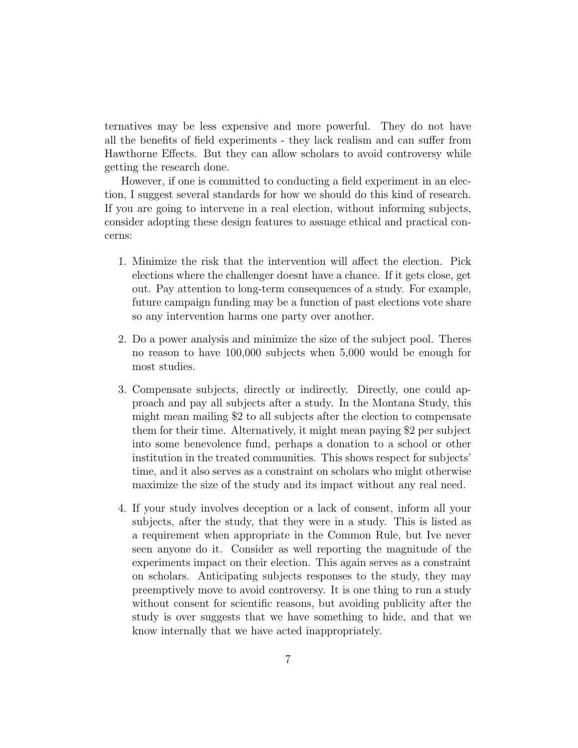ternatives may be less expensive and more powerful. They do not have all the benefits of field experiments - they lack realism and can suffer from Hawthorne Effects. But they can allow scholars to avoid controversy while getting the research done.

However, if one is committed to conducting a field experiment in an election, I suggest several standards for how we should do this kind of research. If you are going to intervene in a real election, without informing subjects, consider adopting these design features to assuage ethical and practical concerns:

- 1. Minimize the risk that the intervention will affect the election. Pick elections where the challenger doesnt have a chance. If it gets close, get out. Pay attention to long-term consequences of a study. For example, future campaign funding may be a function of past elections vote share so any intervention harms one party over another.
- 2. Do a power analysis and minimize the size of the subject pool. Theres no reason to have 100,000 subjects when 5,000 would be enough for most studies.
- 3. Compensate subjects, directly or indirectly. Directly, one could approach and pay all subjects after a study. In the Montana Study, this might mean mailing \$2 to all subjects after the election to compensate them for their time. Alternatively, it might mean paying \$2 per subject into some benevolence fund, perhaps a donation to a school or other institution in the treated communities. This shows respect for subjects' time, and it also serves as a constraint on scholars who might otherwise maximize the size of the study and its impact without any real need.
- 4. If your study involves deception or a lack of consent, inform all your subjects, after the study, that they were in a study. This is listed as a requirement when appropriate in the Common Rule, but Ive never seen anyone do it. Consider as well reporting the magnitude of the experiments impact on their election. This again serves as a constraint on scholars. Anticipating subjects responses to the study, they may preemptively move to avoid controversy. It is one thing to run a study without consent for scientific reasons, but avoiding publicity after the study is over suggests that we have something to hide, and that we know internally that we have acted inappropriately.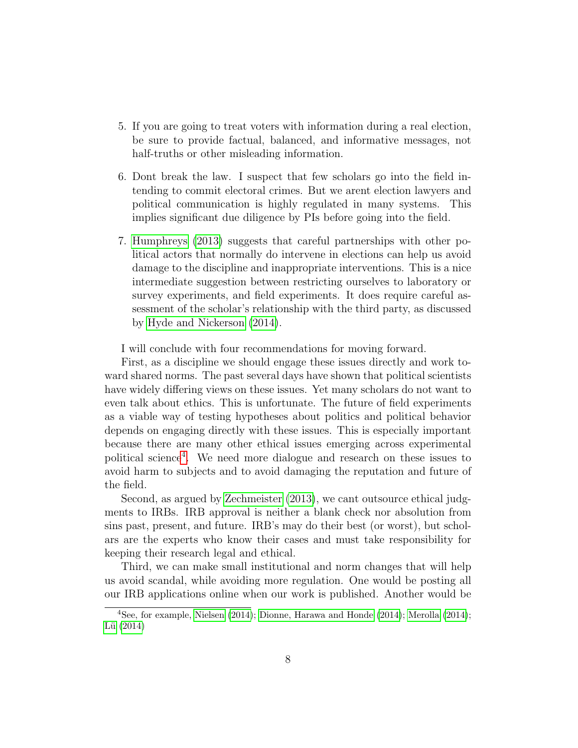- 5. If you are going to treat voters with information during a real election, be sure to provide factual, balanced, and informative messages, not half-truths or other misleading information.
- 6. Dont break the law. I suspect that few scholars go into the field intending to commit electoral crimes. But we arent election lawyers and political communication is highly regulated in many systems. This implies significant due diligence by PIs before going into the field.
- 7. [Humphreys](#page-9-4) [\(2013\)](#page-9-4) suggests that careful partnerships with other political actors that normally do intervene in elections can help us avoid damage to the discipline and inappropriate interventions. This is a nice intermediate suggestion between restricting ourselves to laboratory or survey experiments, and field experiments. It does require careful assessment of the scholar's relationship with the third party, as discussed by [Hyde and Nickerson](#page-9-5) [\(2014\)](#page-9-5).

I will conclude with four recommendations for moving forward.

First, as a discipline we should engage these issues directly and work toward shared norms. The past several days have shown that political scientists have widely differing views on these issues. Yet many scholars do not want to even talk about ethics. This is unfortunate. The future of field experiments as a viable way of testing hypotheses about politics and political behavior depends on engaging directly with these issues. This is especially important because there are many other ethical issues emerging across experimental political science[4](#page-7-0) . We need more dialogue and research on these issues to avoid harm to subjects and to avoid damaging the reputation and future of the field.

Second, as argued by [Zechmeister](#page-9-6) [\(2013\)](#page-9-6), we cant outsource ethical judgments to IRBs. IRB approval is neither a blank check nor absolution from sins past, present, and future. IRB's may do their best (or worst), but scholars are the experts who know their cases and must take responsibility for keeping their research legal and ethical.

Third, we can make small institutional and norm changes that will help us avoid scandal, while avoiding more regulation. One would be posting all our IRB applications online when our work is published. Another would be

<span id="page-7-0"></span><sup>&</sup>lt;sup>4</sup>See, for example, [Nielsen](#page-9-7)  $(2014)$ ; [Dionne, Harawa and Honde](#page-9-8)  $(2014)$ ; [Merolla](#page-9-9)  $(2014)$ ;  $Lü (2014)$  $Lü (2014)$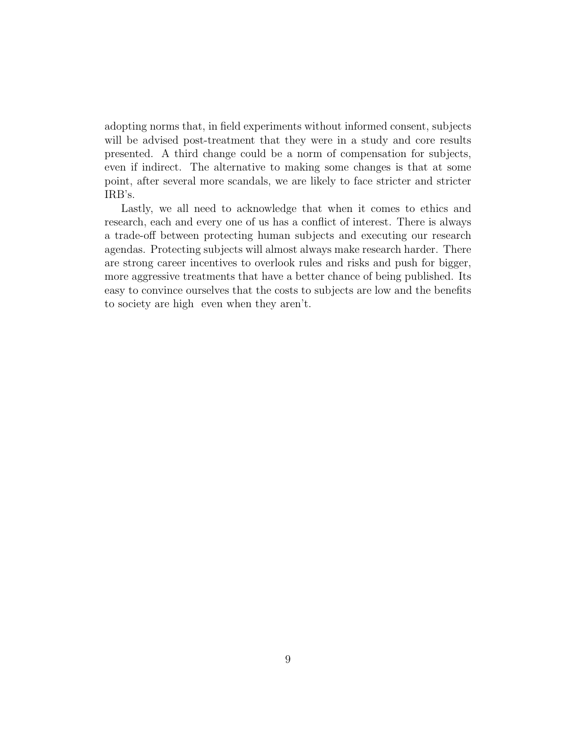adopting norms that, in field experiments without informed consent, subjects will be advised post-treatment that they were in a study and core results presented. A third change could be a norm of compensation for subjects, even if indirect. The alternative to making some changes is that at some point, after several more scandals, we are likely to face stricter and stricter IRB's.

Lastly, we all need to acknowledge that when it comes to ethics and research, each and every one of us has a conflict of interest. There is always a trade-off between protecting human subjects and executing our research agendas. Protecting subjects will almost always make research harder. There are strong career incentives to overlook rules and risks and push for bigger, more aggressive treatments that have a better chance of being published. Its easy to convince ourselves that the costs to subjects are low and the benefits to society are high even when they aren't.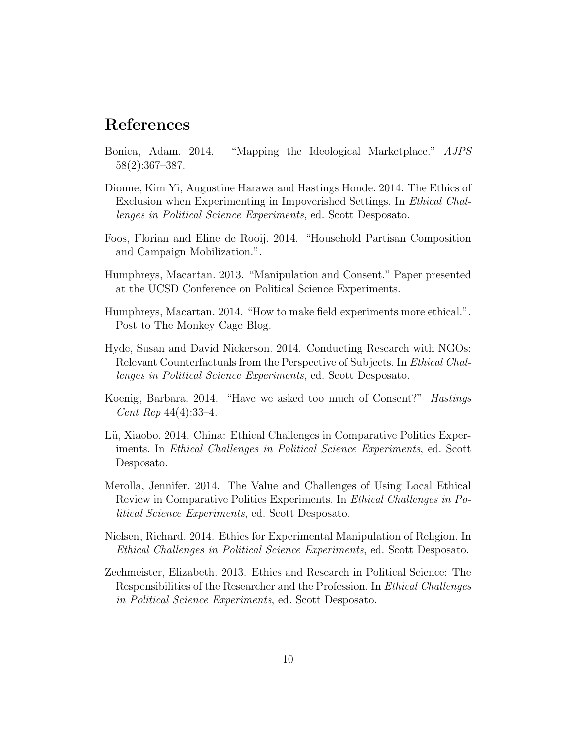## References

- <span id="page-9-0"></span>Bonica, Adam. 2014. "Mapping the Ideological Marketplace." AJPS 58(2):367–387.
- <span id="page-9-8"></span>Dionne, Kim Yi, Augustine Harawa and Hastings Honde. 2014. The Ethics of Exclusion when Experimenting in Impoverished Settings. In Ethical Challenges in Political Science Experiments, ed. Scott Desposato.
- <span id="page-9-1"></span>Foos, Florian and Eline de Rooij. 2014. "Household Partisan Composition and Campaign Mobilization.".
- <span id="page-9-4"></span>Humphreys, Macartan. 2013. "Manipulation and Consent." Paper presented at the UCSD Conference on Political Science Experiments.
- <span id="page-9-2"></span>Humphreys, Macartan. 2014. "How to make field experiments more ethical.". Post to The Monkey Cage Blog.
- <span id="page-9-5"></span>Hyde, Susan and David Nickerson. 2014. Conducting Research with NGOs: Relevant Counterfactuals from the Perspective of Subjects. In Ethical Challenges in Political Science Experiments, ed. Scott Desposato.
- <span id="page-9-3"></span>Koenig, Barbara. 2014. "Have we asked too much of Consent?" Hastings Cent Rep 44(4):33–4.
- <span id="page-9-10"></span>Lü, Xiaobo. 2014. China: Ethical Challenges in Comparative Politics Experiments. In Ethical Challenges in Political Science Experiments, ed. Scott Desposato.
- <span id="page-9-9"></span>Merolla, Jennifer. 2014. The Value and Challenges of Using Local Ethical Review in Comparative Politics Experiments. In Ethical Challenges in Political Science Experiments, ed. Scott Desposato.
- <span id="page-9-7"></span>Nielsen, Richard. 2014. Ethics for Experimental Manipulation of Religion. In Ethical Challenges in Political Science Experiments, ed. Scott Desposato.
- <span id="page-9-6"></span>Zechmeister, Elizabeth. 2013. Ethics and Research in Political Science: The Responsibilities of the Researcher and the Profession. In Ethical Challenges in Political Science Experiments, ed. Scott Desposato.